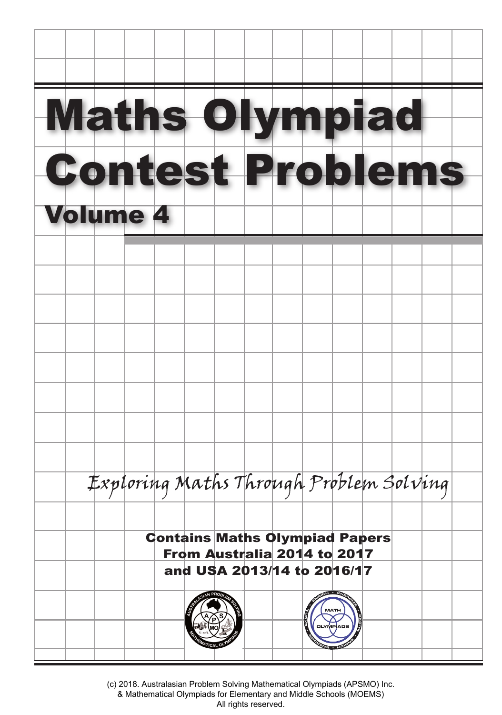

(c) 2018. Australasian Problem Solving Mathematical Olympiads (APSMO) Inc. & Mathematical Olympiads for Elementary and Middle Schools (MOEMS) All rights reserved.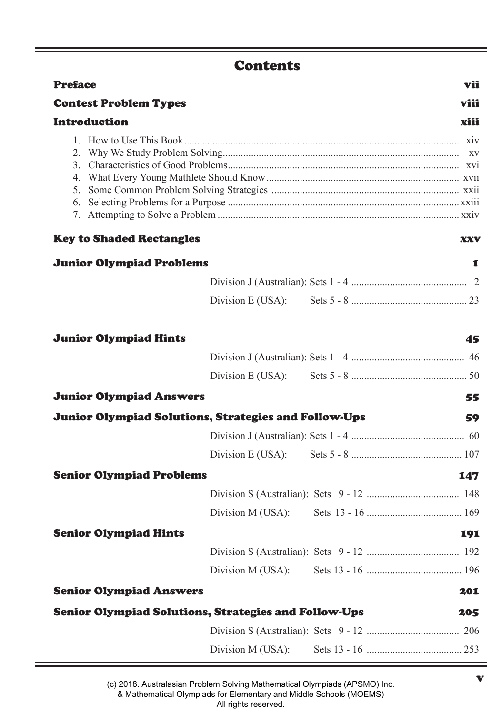# **Contents**

| <b>Preface</b>                                                             | vii  |
|----------------------------------------------------------------------------|------|
| <b>Contest Problem Types</b>                                               | viii |
| Introduction                                                               | xiii |
| $\mathfrak{2}$ .<br>3<br>4.<br>5.<br>6.<br><b>Key to Shaded Rectangles</b> | XXV  |
| <b>Junior Olympiad Problems</b>                                            | 1    |
|                                                                            |      |
|                                                                            |      |
| <b>Junior Olympiad Hints</b>                                               | 45   |

| <b>Junior Olympiad Answers</b>                              |  | 55  |
|-------------------------------------------------------------|--|-----|
| Junior Olympiad Solutions, Strategies and Follow-Ups        |  | 59  |
|                                                             |  |     |
|                                                             |  |     |
| <b>Senior Olympiad Problems</b>                             |  | 147 |
|                                                             |  |     |
|                                                             |  |     |
| <b>Senior Olympiad Hints</b>                                |  | 191 |
|                                                             |  |     |
|                                                             |  |     |
| <b>Senior Olympiad Answers</b>                              |  | 201 |
| <b>Senior Olympiad Solutions, Strategies and Follow-Ups</b> |  | 205 |
|                                                             |  |     |
|                                                             |  |     |
|                                                             |  |     |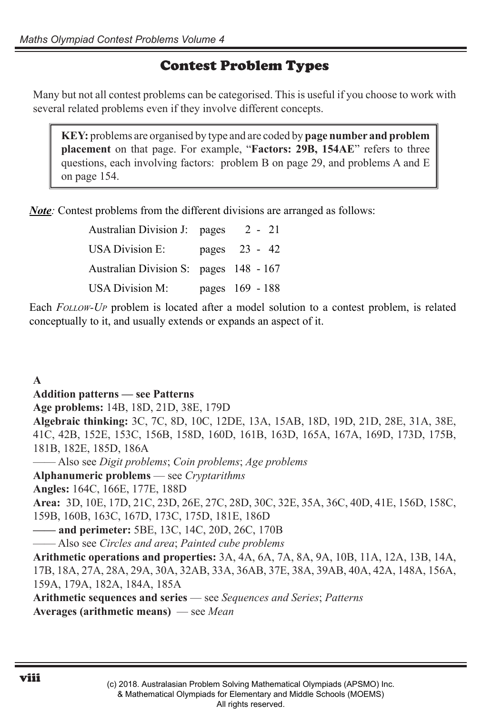# Contest Problem Types

Many but not all contest problems can be categorised. This is useful if you choose to work with several related problems even if they involve different concepts.

**KEY:** problems are organised by type and are coded by **page number and problem placement** on that page. For example, "**Factors: 29B, 154AE**" refers to three questions, each involving factors: problem B on page 29, and problems A and E on page 154.

*Note*: Contest problems from the different divisions are arranged as follows:

| Australian Division J: pages           | $2 - 21$        |
|----------------------------------------|-----------------|
| <b>USA Division E:</b>                 | pages 23 - 42   |
| Australian Division S: pages 148 - 167 |                 |
| <b>USA Division M:</b>                 | pages 169 - 188 |

Each *Follow-Up* problem is located after a model solution to a contest problem, is related conceptually to it, and usually extends or expands an aspect of it.

### **A**

#### **Addition patterns — see Patterns**

**Age problems:** 14B, 18D, 21D, 38E, 179D

**Algebraic thinking:** 3C, 7C, 8D, 10C, 12DE, 13A, 15AB, 18D, 19D, 21D, 28E, 31A, 38E, 41C, 42B, 152E, 153C, 156B, 158D, 160D, 161B, 163D, 165A, 167A, 169D, 173D, 175B, 181B, 182E, 185D, 186A

—— Also see *Digit problems*; *Coin problems*; *Age problems*

**Alphanumeric problems** — see *Cryptarithms*

**Angles:** 164C, 166E, 177E, 188D

**Area:** 3D, 10E, 17D, 21C, 23D, 26E, 27C, 28D, 30C, 32E, 35A, 36C, 40D, 41E, 156D, 158C, 159B, 160B, 163C, 167D, 173C, 175D, 181E, 186D

**—— and perimeter:** 5BE, 13C, 14C, 20D, 26C, 170B

—— Also see *Circles and area*; *Painted cube problems*

**Arithmetic operations and properties:** 3A, 4A, 6A, 7A, 8A, 9A, 10B, 11A, 12A, 13B, 14A, 17B, 18A, 27A, 28A, 29A, 30A, 32AB, 33A, 36AB, 37E, 38A, 39AB, 40A, 42A, 148A, 156A, 159A, 179A, 182A, 184A, 185A

**Arithmetic sequences and series** — see *Sequences and Series*; *Patterns*

**Averages (arithmetic means)** — see *Mean*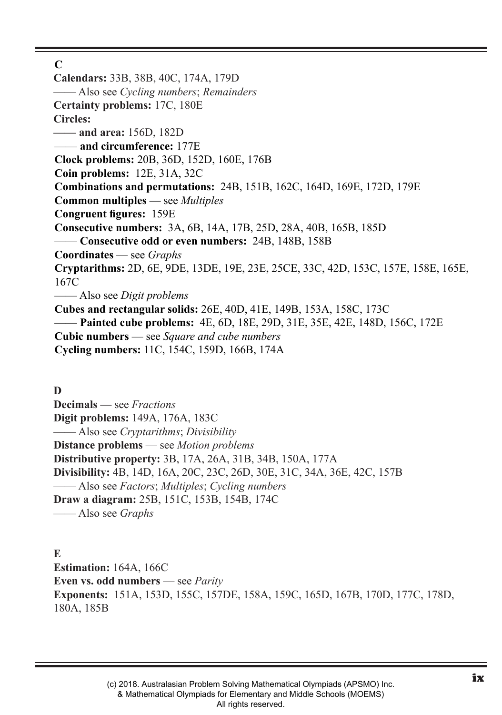**C**

**Calendars:** 33B, 38B, 40C, 174A, 179D —— Also see *Cycling numbers*; *Remainders* **Certainty problems:** 17C, 180E **Circles: —— and area:** 156D, 182D —— **and circumference:** 177E **Clock problems:** 20B, 36D, 152D, 160E, 176B **Coin problems:** 12E, 31A, 32C **Combinations and permutations:** 24B, 151B, 162C, 164D, 169E, 172D, 179E **Common multiples** — see *Multiples* **Congruent figures:** 159E **Consecutive numbers:** 3A, 6B, 14A, 17B, 25D, 28A, 40B, 165B, 185D —— **Consecutive odd or even numbers:** 24B, 148B, 158B **Coordinates** — see *Graphs* **Cryptarithms:** 2D, 6E, 9DE, 13DE, 19E, 23E, 25CE, 33C, 42D, 153C, 157E, 158E, 165E, 167C —— Also see *Digit problems* **Cubes and rectangular solids:** 26E, 40D, 41E, 149B, 153A, 158C, 173C —— **Painted cube problems:** 4E, 6D, 18E, 29D, 31E, 35E, 42E, 148D, 156C, 172E **Cubic numbers** — see *Square and cube numbers* **Cycling numbers:** 11C, 154C, 159D, 166B, 174A

**D**

**Decimals** — see *Fractions* **Digit problems:** 149A, 176A, 183C —— Also see *Cryptarithms*; *Divisibility* **Distance problems** — see *Motion problems* **Distributive property:** 3B, 17A, 26A, 31B, 34B, 150A, 177A **Divisibility:** 4B, 14D, 16A, 20C, 23C, 26D, 30E, 31C, 34A, 36E, 42C, 157B —— Also see *Factors*; *Multiples*; *Cycling numbers* **Draw a diagram:** 25B, 151C, 153B, 154B, 174C —— Also see *Graphs*

**E Estimation:** 164A, 166C **Even vs. odd numbers** — see *Parity* **Exponents:** 151A, 153D, 155C, 157DE, 158A, 159C, 165D, 167B, 170D, 177C, 178D, 180A, 185B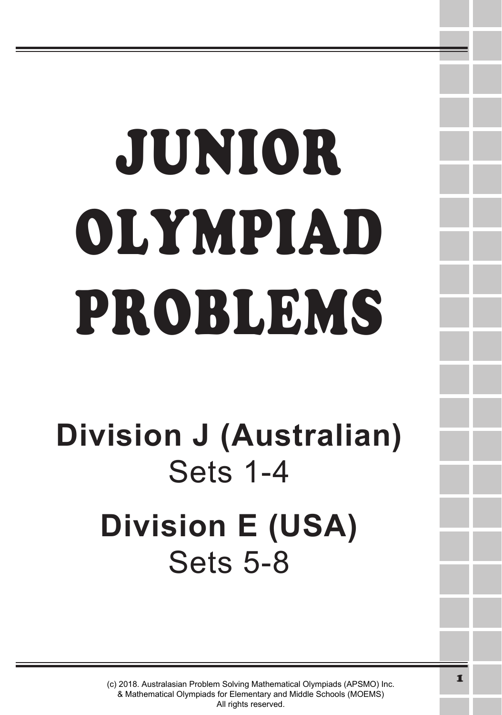# JUNIOR OLYMPIAD PROBLEMS

**Division J (Australian)** Sets 1-4 **Division E (USA)** Sets 5-8

> (c) 2018. Australasian Problem Solving Mathematical Olympiads (APSMO) Inc. & Mathematical Olympiads for Elementary and Middle Schools (MOEMS) All rights reserved.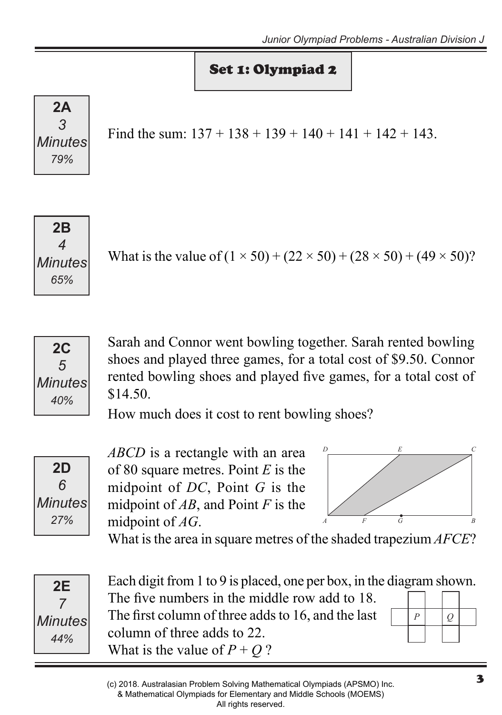# Set 1: Olympiad 2



Find the sum:  $137 + 138 + 139 + 140 + 141 + 142 + 143$ .



What is the value of  $(1 \times 50) + (22 \times 50) + (28 \times 50) + (49 \times 50)$ ?



Sarah and Connor went bowling together. Sarah rented bowling shoes and played three games, for a total cost of \$9.50. Connor rented bowling shoes and played five games, for a total cost of \$14.50.

How much does it cost to rent bowling shoes?



*ABCD* is a rectangle with an area of 80 square metres. Point *E* is the midpoint of *DC*, Point *G* is the midpoint of *AB*, and Point *F* is the midpoint of *AG*.



What is the area in square metres of the shaded trapezium *AFCE*?



Each digit from 1 to 9 is placed, one per box, in the diagram shown. The five numbers in the middle row add to 18. The first column of three adds to 16, and the last column of three adds to 22. What is the value of  $P + Q$ ?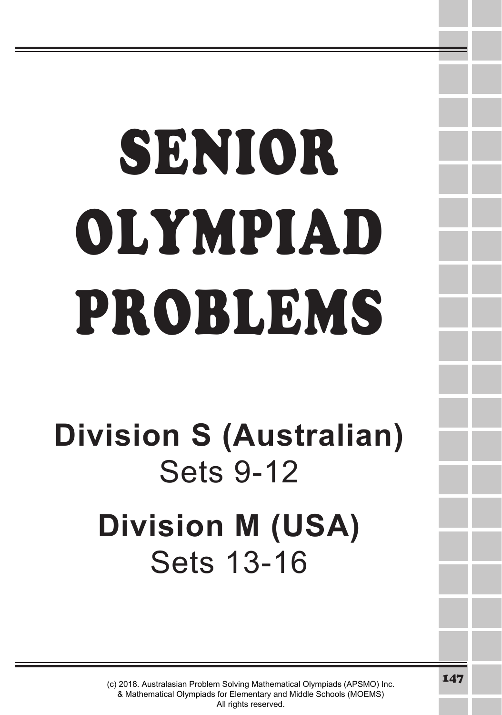# SENIOR OLYMPIAD PROBLEMS

# **Division S (Australian)** Sets 9-12 **Division M (USA)** Sets 13-16

(c) 2018. Australasian Problem Solving Mathematical Olympiads (APSMO) Inc. & Mathematical Olympiads for Elementary and Middle Schools (MOEMS) All rights reserved.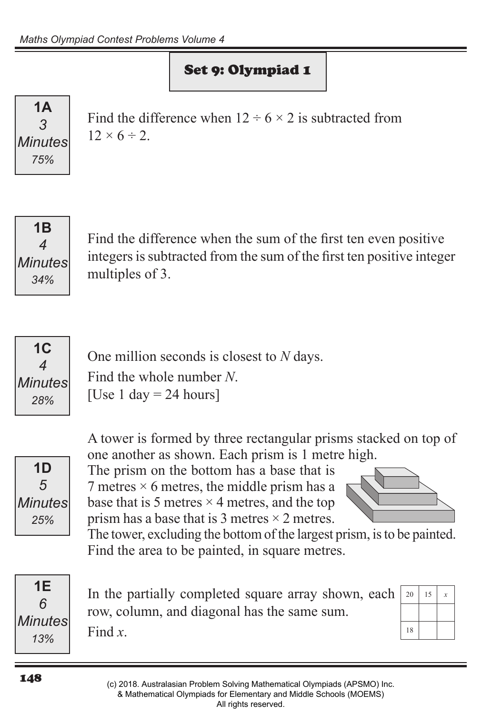# Set 9: Olympiad 1

**1A** *3 Minutes 75%*

Find the difference when  $12 \div 6 \times 2$  is subtracted from  $12 \times 6 \div 2$ 



Find the difference when the sum of the first ten even positive integers is subtracted from the sum of the first ten positive integer multiples of 3.



One million seconds is closest to *N* days. Find the whole number *N*. [Use 1 day  $= 24$  hours]



A tower is formed by three rectangular prisms stacked on top of one another as shown. Each prism is 1 metre high.

The prism on the bottom has a base that is 7 metres  $\times$  6 metres, the middle prism has a base that is 5 metres  $\times$  4 metres, and the top prism has a base that is 3 metres  $\times$  2 metres.



The tower, excluding the bottom of the largest prism, is to be painted. Find the area to be painted, in square metres.



In the partially completed square array shown, each row, column, and diagonal has the same sum. Find *x*.

| 20 | 15 | $\boldsymbol{x}$ |
|----|----|------------------|
|    |    |                  |
| 18 |    |                  |